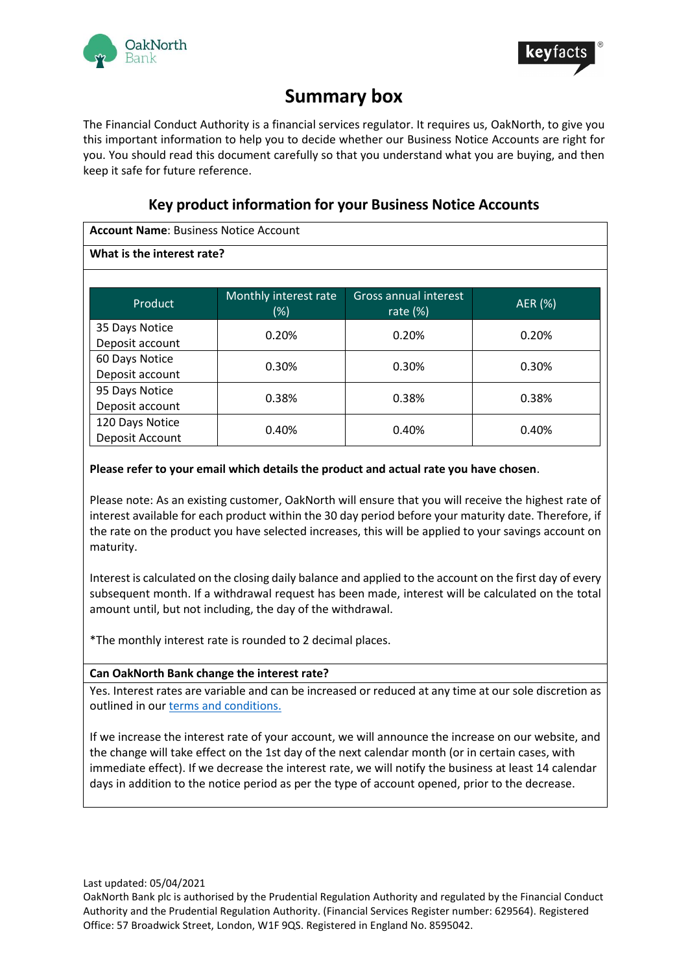



# **Summary box**

The Financial Conduct Authority is a financial services regulator. It requires us, OakNorth, to give you this important information to help you to decide whether our Business Notice Accounts are right for you. You should read this document carefully so that you understand what you are buying, and then keep it safe for future reference.

# **Key product information for your Business Notice Accounts**

**Account Name**: Business Notice Account

# **What is the interest rate?**

| Product                            | Monthly interest rate<br>(%) | <b>Gross annual interest</b><br>rate $(\%)$ | AER (%) |
|------------------------------------|------------------------------|---------------------------------------------|---------|
| 35 Days Notice<br>Deposit account  | 0.20%                        | 0.20%                                       | 0.20%   |
| 60 Days Notice<br>Deposit account  | 0.30%                        | 0.30%                                       | 0.30%   |
| 95 Days Notice<br>Deposit account  | 0.38%                        | 0.38%                                       | 0.38%   |
| 120 Days Notice<br>Deposit Account | 0.40%                        | 0.40%                                       | 0.40%   |

# **Please refer to your email which details the product and actual rate you have chosen**.

Please note: As an existing customer, OakNorth will ensure that you will receive the highest rate of interest available for each product within the 30 day period before your maturity date. Therefore, if the rate on the product you have selected increases, this will be applied to your savings account on maturity.

Interest is calculated on the closing daily balance and applied to the account on the first day of every subsequent month. If a withdrawal request has been made, interest will be calculated on the total amount until, but not including, the day of the withdrawal.

\*The monthly interest rate is rounded to 2 decimal places.

# **Can OakNorth Bank change the interest rate?**

Yes. Interest rates are variable and can be increased or reduced at any time at our sole discretion as outlined in our terms and [conditions.](http://www.oaknorth.co.uk/terms-and-conditions/)

If we increase the interest rate of your account, we will announce the increase on our website, and the change will take effect on the 1st day of the next calendar month (or in certain cases, with immediate effect). If we decrease the interest rate, we will notify the business at least 14 calendar days in addition to the notice period as per the type of account opened, prior to the decrease.

Last updated: 05/04/2021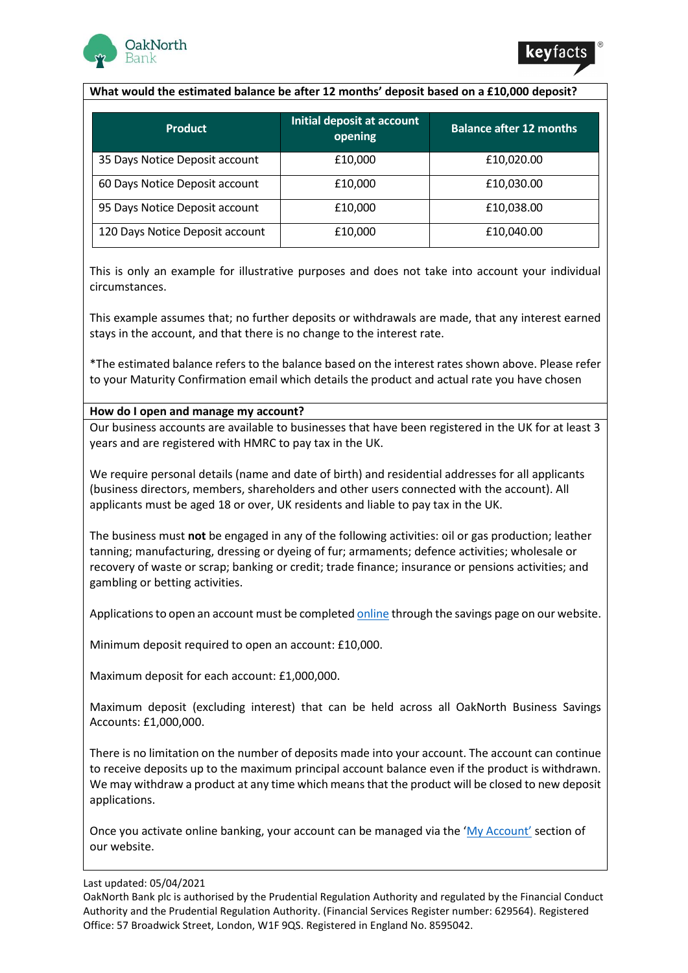



#### **What would the estimated balance be after 12 months' deposit based on a £10,000 deposit?**

| <b>Product</b>                  | Initial deposit at account<br>opening | <b>Balance after 12 months</b> |
|---------------------------------|---------------------------------------|--------------------------------|
| 35 Days Notice Deposit account  | £10,000                               | £10,020.00                     |
| 60 Days Notice Deposit account  | £10,000                               | £10,030.00                     |
| 95 Days Notice Deposit account  | £10,000                               | £10,038.00                     |
| 120 Days Notice Deposit account | £10,000                               | £10,040.00                     |

This is only an example for illustrative purposes and does not take into account your individual circumstances.

This example assumes that; no further deposits or withdrawals are made, that any interest earned stays in the account, and that there is no change to the interest rate.

\*The estimated balance refers to the balance based on the interest rates shown above. Please refer to your Maturity Confirmation email which details the product and actual rate you have chosen

#### **How do I open and manage my account?**

Our business accounts are available to businesses that have been registered in the UK for at least 3 years and are registered with HMRC to pay tax in the UK.

We require personal details (name and date of birth) and residential addresses for all applicants (business directors, members, shareholders and other users connected with the account). All applicants must be aged 18 or over, UK residents and liable to pay tax in the UK.

The business must **not** be engaged in any of the following activities: oil or gas production; leather tanning; manufacturing, dressing or dyeing of fur; armaments; defence activities; wholesale or recovery of waste or scrap; banking or credit; trade finance; insurance or pensions activities; and gambling or betting activities.

Applications to open an account must be complete[d online](https://www.oaknorth.co.uk/savings/business-savings/business-deposit/) through the savings page on our website.

Minimum deposit required to open an account: £10,000.

Maximum deposit for each account: £1,000,000.

Maximum deposit (excluding interest) that can be held across all OakNorth Business Savings Accounts: £1,000,000.

There is no limitation on the number of deposits made into your account. The account can continue to receive deposits up to the maximum principal account balance even if the product is withdrawn. We may withdraw a product at any time which means that the product will be closed to new deposit applications.

Once you activate online banking, your account can be managed via the ['My Account'](https://www.online.oaknorth.co.uk/) section of our website.

#### Last updated: 05/04/2021

OakNorth Bank plc is authorised by the Prudential Regulation Authority and regulated by the Financial Conduct Authority and the Prudential Regulation Authority. (Financial Services Register number: 629564). Registered Office: 57 Broadwick Street, London, W1F 9QS. Registered in England No. 8595042.